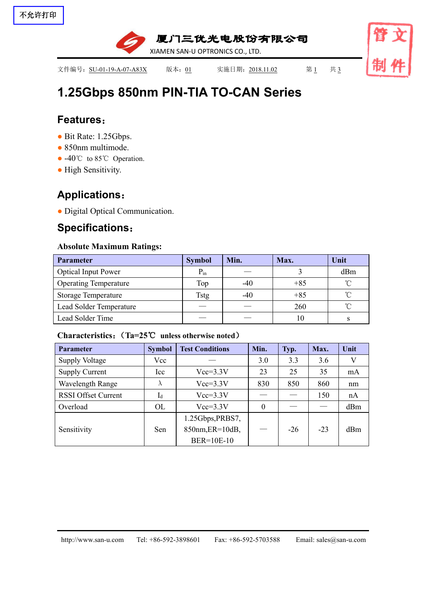

# **1.25Gbps 850nm PIN-TIA TO-CAN [Series](file:///C:/Users/Administrator/AppData/Local/youdao/dict/Application/7.5.2.0/resultui/dict/?keyword=series)**

## **Features**:

- Bit Rate: 1.25Gbps.
- 850nm multimode.
- -40°C to 85°C Operation.
- High Sensitivity.

## **Applications**:

• Digital Optical Communication.

## **Specifications**:

### **Absolute Maximum Ratings:**

| <b>Parameter</b>             | <b>Symbol</b> | Min.<br>Max.      |       | Unit       |
|------------------------------|---------------|-------------------|-------|------------|
| <b>Optical Input Power</b>   | $P_{in}$      | $\hspace{0.05cm}$ |       | dBm        |
| <b>Operating Temperature</b> | Top           | $-40$             | $+85$ | $\sim$     |
| <b>Storage Temperature</b>   | <b>Tstg</b>   | $-40$             | +85   | $^{\circ}$ |
| Lead Solder Temperature      |               |                   | 260   | $^{\circ}$ |
| Lead Solder Time             |               | __                | 10    |            |

### **Characteristics**:(**Ta=25**℃ **unless otherwise noted**)

| <b>Parameter</b>           | <b>Symbol</b>  | <b>Test Conditions</b> | Min.     | Typ.  | Max.  | Unit |
|----------------------------|----------------|------------------------|----------|-------|-------|------|
| <b>Supply Voltage</b>      | Vcc            |                        | 3.0      | 3.3   | 3.6   | V    |
| <b>Supply Current</b>      | Icc            | $Vcc=3.3V$             | 23       | 25    | 35    | mA   |
| Wavelength Range           | $\Lambda$      | $Vcc=3.3V$             | 830      | 850   | 860   | nm   |
| <b>RSSI Offset Current</b> | 1 <sub>d</sub> | $Vcc=3.3V$             |          |       | 150   | nA   |
| Overload                   | OL             | $Vcc=3.3V$             | $\theta$ |       |       | dBm  |
|                            |                | 1.25Gbps, PRBS7,       |          |       |       |      |
| Sensitivity<br>Sen         |                | $850nm$ , $ER=10dB$ ,  |          | $-26$ | $-23$ | dBm  |
|                            |                | BER=10E-10             |          |       |       |      |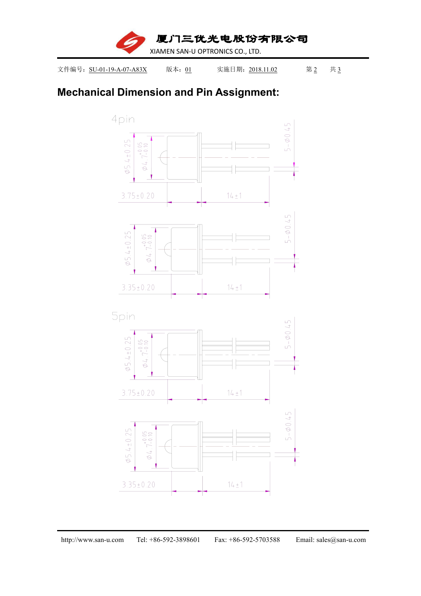厦门三优光电股份有限公司 XIAMEN SAN-U OPTRONICS CO., LTD.

文件编号: SU-01-19-A-07-A83X 版本: 01 实施日期: 2018.11.02 第2 共3

## **Mechanical Dimension and Pin Assignment:**